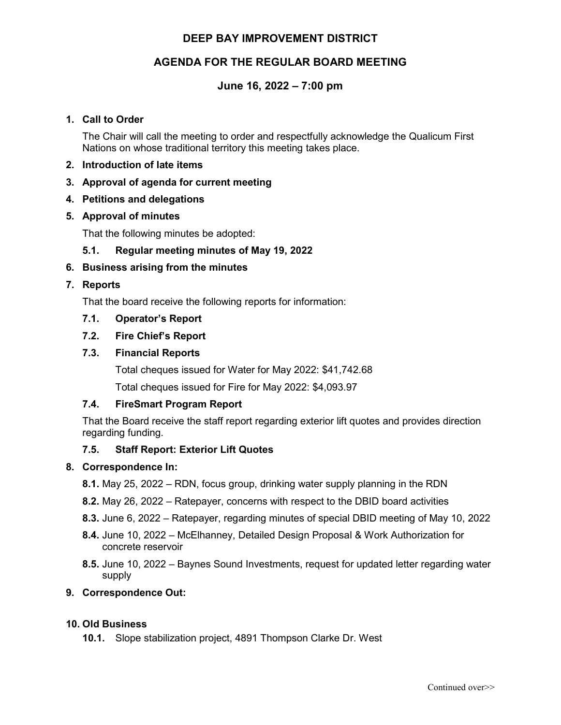## **DEEP BAY IMPROVEMENT DISTRICT**

## **AGENDA FOR THE REGULAR BOARD MEETING**

## **June 16, 2022 – 7:00 pm**

### **1. Call to Order**

The Chair will call the meeting to order and respectfully acknowledge the Qualicum First Nations on whose traditional territory this meeting takes place.

- **2. Introduction of late items**
- **3. Approval of agenda for current meeting**
- **4. Petitions and delegations**
- **5. Approval of minutes**

That the following minutes be adopted:

**5.1. Regular meeting minutes of May 19, 2022** 

### **6. Business arising from the minutes**

### **7. Reports**

That the board receive the following reports for information:

### **7.1. Operator's Report**

### **7.2. Fire Chief's Report**

### **7.3. Financial Reports**

Total cheques issued for Water for May 2022: \$41,742.68

Total cheques issued for Fire for May 2022: \$4,093.97

## **7.4. FireSmart Program Report**

That the Board receive the staff report regarding exterior lift quotes and provides direction regarding funding.

## **7.5. Staff Report: Exterior Lift Quotes**

#### **8. Correspondence In:**

- **8.1.** May 25, 2022 RDN, focus group, drinking water supply planning in the RDN
- **8.2.** May 26, 2022 Ratepayer, concerns with respect to the DBID board activities
- **8.3.** June 6, 2022 Ratepayer, regarding minutes of special DBID meeting of May 10, 2022
- **8.4.** June 10, 2022 McElhanney, Detailed Design Proposal & Work Authorization for concrete reservoir
- **8.5.** June 10, 2022 Baynes Sound Investments, request for updated letter regarding water supply

### **9. Correspondence Out:**

#### **10. Old Business**

**10.1.** Slope stabilization project, 4891 Thompson Clarke Dr. West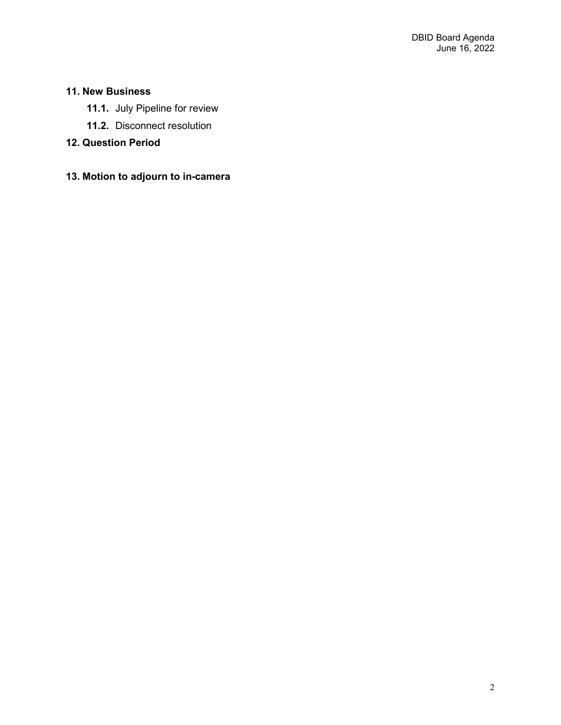# **11. New Business**

- **11.1.** July Pipeline for review
- **11.2.** Disconnect resolution

# **12. Question Period**

# **13. Motion to adjourn to in-camera**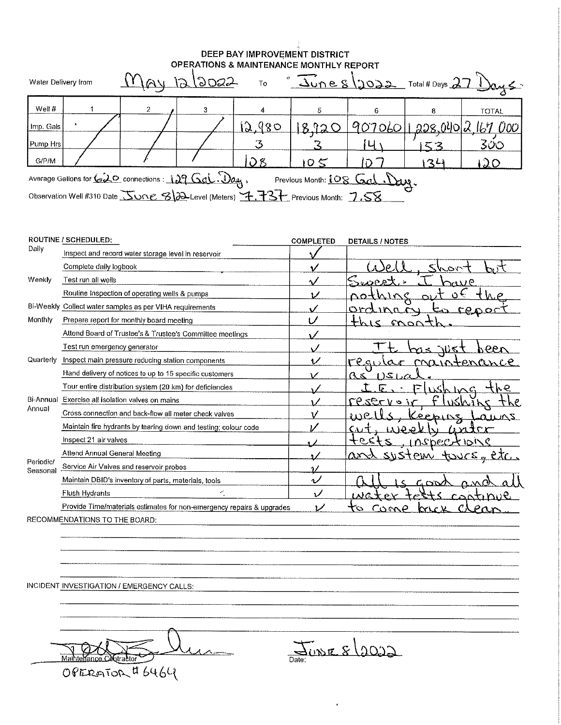#### DEEP BAY IMPROVEMENT DISTRICT **OPERATIONS & MAINTENANCE MONTHLY REPORT**

| Water Delivery from                                                                                   |  |  | <u>lay 12/2022</u> | To            |       |  |     | $\sqrt[3]{\frac{1}{20082}}$ Total # Days 27 $\sqrt{245}$ |
|-------------------------------------------------------------------------------------------------------|--|--|--------------------|---------------|-------|--|-----|----------------------------------------------------------|
| Well $#$                                                                                              |  |  |                    |               |       |  |     | <b>TOTAL</b>                                             |
| Imp. Gals                                                                                             |  |  |                    | 12.980        | 8.120 |  |     | <u>907060   1,208,040   2,167 000  </u>                  |
| Pump Hrs                                                                                              |  |  |                    |               |       |  |     | 300                                                      |
| G/P/M                                                                                                 |  |  |                    | $\mathcal{S}$ | 10<   |  | いくん | 20                                                       |
| Average Gallons for $\sqrt{2Q}$ connections : $129\sqrt{2}d\sqrt{2}$<br>Previous Month: 108 Gal. Day. |  |  |                    |               |       |  |     |                                                          |
| Observation Well #310 Date Jone 8 2-Level (Meters) 4.737 Previous Month: 7.58                         |  |  |                    |               |       |  |     |                                                          |

|                       | <b>ROUTINE / SCHEDULED:</b>                                           | <b>COMPLETED</b>         | <b>DETAILS / NOTES</b>                      |
|-----------------------|-----------------------------------------------------------------------|--------------------------|---------------------------------------------|
| Daily                 | Inspect and record water storage level in reservoir                   |                          |                                             |
|                       | Complete daily logbook                                                |                          | <u>Shor</u>                                 |
| Weekly                | Test run all wells                                                    |                          | $\sim$ $\sim$ $\sim$<br>$\cdots$ P          |
|                       | Routine Inspection of operating wells & pumps                         |                          | へっさ                                         |
|                       | Bi-Weekly Collect water samples as per VIHA requirements              |                          | ロトイ<br>n n<br>$\mathbf{C}$                  |
| Monthiv               | Prepare report for monthly board meeting                              | υ                        | ぐ<br>mon                                    |
|                       | Attend Board of Trustee's & Trustee's Committee meetings              |                          |                                             |
|                       | Test run emergency generator                                          |                          | مa.<br>کا\ا                                 |
| Quarterly             | Inspect main pressure reducing station components                     | $\overline{\mathcal{L}}$ | اربه و ۳۹<br>maintenance<br>$\alpha$ r      |
|                       | Hand delivery of notices to up to 15 specific customers               | v                        | 12(1)<br>Ωs                                 |
|                       | Tour entire distribution system (20 km) for deficiencies              |                          | ナんめ<br>1.5h1c<br>≖                          |
| Bi-Annual             | Exercise all isolation valves on mains                                |                          | <u>CRSETVO</u><br>VSEVJK                    |
| Annual                | Cross connection and back-flow all meter check valves                 |                          | P                                           |
|                       | Maintain fire hydrants by tearing down and testing; colour code       |                          | ひれまい                                        |
|                       | Inspect 21 air valves                                                 |                          | ナビピィ<br><u>INSPECTIONS</u>                  |
|                       | Attend Annual General Meeting                                         |                          | 9.2200t<br>$\Delta$ rel<br>PIM              |
| Periodic/<br>Seasonal | Service Air Valves and reservoir probes                               |                          |                                             |
|                       | Maintain DBID's inventory of parts, materials, tools                  | ويه                      | C ON                                        |
|                       | Flush Hydrants                                                        | ν                        | $c \wedge \wedge \wedge \wedge \wedge \vee$ |
|                       | Provide Time/materials estimates for non-emergency repairs & upgrades | مرا                      |                                             |
|                       | RECOMMENDATIONS TO THE BOARD:                                         |                          |                                             |

INCIDENT INVESTIGATION / EMERGENCY CALLS:

 $\lambda$ Maihte OPERATOR # 6464

Date: DIDIE 8/2022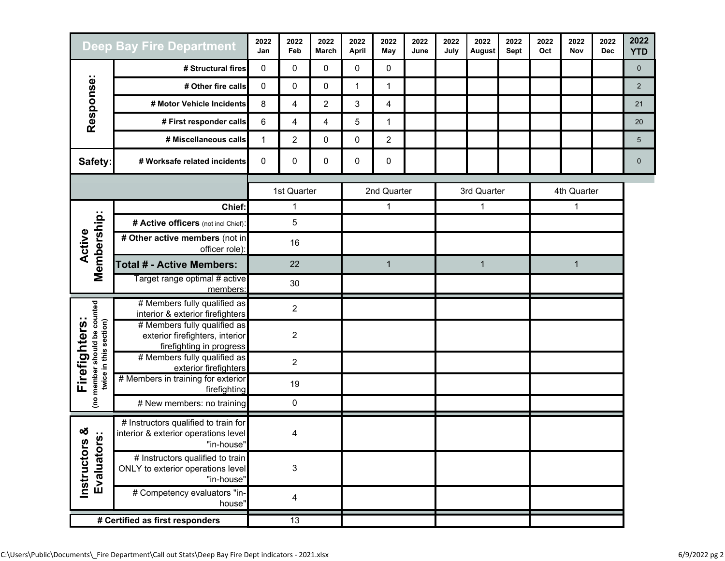| <b>Deep Bay Fire Department</b>                                         |                                                                                             | 2022<br>Jan    | 2022<br>Feb    | 2022<br><b>March</b> | 2022<br>April | 2022<br>May    | 2022<br>June | 2022<br>July | 2022<br>August | 2022<br>Sept | 2022<br>Oct | 2022<br>Nov | 2022<br><b>Dec</b> | 2022<br><b>YTD</b> |
|-------------------------------------------------------------------------|---------------------------------------------------------------------------------------------|----------------|----------------|----------------------|---------------|----------------|--------------|--------------|----------------|--------------|-------------|-------------|--------------------|--------------------|
| Response:                                                               | # Structural fires                                                                          | 0              | 0              | 0                    | 0             | 0              |              |              |                |              |             |             |                    | $\mathbf 0$        |
|                                                                         | # Other fire calls                                                                          | 0              | 0              | 0                    | $\mathbf{1}$  | $\mathbf{1}$   |              |              |                |              |             |             |                    | 2                  |
|                                                                         | # Motor Vehicle Incidents                                                                   | 8              | 4              | $\overline{c}$       | 3             | 4              |              |              |                |              |             |             |                    | 21                 |
|                                                                         | # First responder calls                                                                     | 6              | 4              | 4                    | 5             | 1              |              |              |                |              |             |             |                    | 20                 |
|                                                                         | # Miscellaneous calls                                                                       | $\mathbf{1}$   | $\overline{2}$ | 0                    | 0             | $\overline{c}$ |              |              |                |              |             |             |                    | $\sqrt{5}$         |
| Safety:                                                                 | # Worksafe related incidents                                                                | 0              | 0              | 0                    | 0             | 0              |              |              |                |              |             |             |                    | $\mathbf 0$        |
|                                                                         |                                                                                             |                | 1st Quarter    |                      | 2nd Quarter   |                | 3rd Quarter  |              | 4th Quarter    |              |             |             |                    |                    |
|                                                                         | Chief:                                                                                      |                | 1              |                      |               | $\mathbf{1}$   |              | 1            |                | 1            |             |             |                    |                    |
|                                                                         | # Active officers (not incl Chief):                                                         | 5              |                |                      |               |                |              |              |                |              |             |             |                    |                    |
| Membership:<br>Active                                                   | # Other active members (not in<br>officer role):                                            | 16             |                |                      |               |                |              |              |                |              |             |             |                    |                    |
|                                                                         | <b>Total # - Active Members:</b>                                                            | 22             |                | $\mathbf{1}$         |               | $\mathbf{1}$   |              | $\mathbf 1$  |                |              |             |             |                    |                    |
|                                                                         | Target range optimal # active<br>members:                                                   | 30             |                |                      |               |                |              |              |                |              |             |             |                    |                    |
|                                                                         | # Members fully qualified as<br>interior & exterior firefighters                            |                | $\overline{2}$ |                      |               |                |              |              |                |              |             |             |                    |                    |
| (no member should be counted<br>twice in this section)<br>Firefighters: | # Members fully qualified as<br>exterior firefighters, interior<br>firefighting in progress | $\overline{2}$ |                |                      |               |                |              |              |                |              |             |             |                    |                    |
|                                                                         | # Members fully qualified as<br>exterior firefighters                                       |                | $\overline{2}$ |                      |               |                |              |              |                |              |             |             |                    |                    |
|                                                                         | # Members in training for exterior<br>firefighting                                          | 19             |                |                      |               |                |              |              |                |              |             |             |                    |                    |
|                                                                         | # New members: no training                                                                  |                | 0              |                      |               |                |              |              |                |              |             |             |                    |                    |
| ఱ<br>×,<br><b>S</b><br>m<br>Instructors<br>Evaluator                    | # Instructors qualified to train for<br>interior & exterior operations level<br>"in-house'  | 4              |                |                      |               |                |              |              |                |              |             |             |                    |                    |
|                                                                         | # Instructors qualified to train<br>ONLY to exterior operations level<br>"in-house"         | 3              |                |                      |               |                |              |              |                |              |             |             |                    |                    |
|                                                                         | # Competency evaluators "in-<br>house"                                                      |                | 4              |                      |               |                |              |              |                |              |             |             |                    |                    |
| # Certified as first responders                                         |                                                                                             |                | 13             |                      |               |                |              |              |                |              |             |             |                    |                    |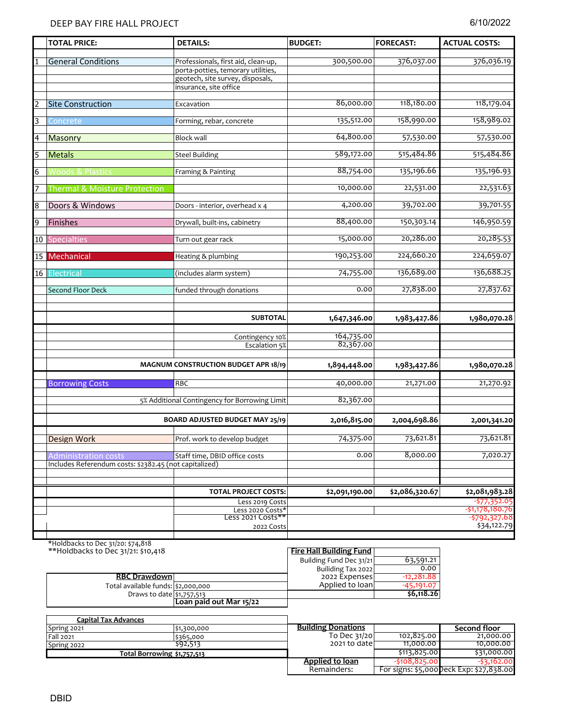|    | <b>TOTAL PRICE:</b>                                    | <b>DETAILS:</b>                                                        | <b>BUDGET:</b> | <b>FORECAST:</b> | <b>ACTUAL COSTS:</b> |
|----|--------------------------------------------------------|------------------------------------------------------------------------|----------------|------------------|----------------------|
|    |                                                        |                                                                        |                |                  |                      |
|    | <b>General Conditions</b>                              | Professionals, first aid, clean-up,                                    | 300,500.00     | 376,037.00       | 376,036.19           |
|    |                                                        | porta-potties, temorary utilities,<br>geotech, site survey, disposals, |                |                  |                      |
|    |                                                        | insurance, site office                                                 |                |                  |                      |
|    |                                                        |                                                                        |                |                  |                      |
|    | <b>Site Construction</b>                               | Excavation                                                             | 86,000.00      | 118,180.00       | 118,179.04           |
|    | Concrete                                               | Forming, rebar, concrete                                               | 135,512.00     | 158,990.00       | 158,989.02           |
| 3  |                                                        |                                                                        |                |                  |                      |
| 4  | Masonry                                                | <b>Block wall</b>                                                      | 64,800.00      | 57,530.00        | 57,530.00            |
|    |                                                        |                                                                        |                |                  |                      |
| 5  | <b>Metals</b>                                          | <b>Steel Building</b>                                                  | 589,172.00     | 515,484.86       | 515,484.86           |
| 6  | <b>Woods &amp; Plastics</b>                            | Framing & Painting                                                     | 88,754.00      | 135,196.66       | 135,196.93           |
|    |                                                        |                                                                        |                |                  |                      |
| 7  | <b>Thermal &amp; Moisture Protection</b>               |                                                                        | 10,000.00      | 22,531.00        | 22,531.63            |
| 8  | Doors & Windows                                        | Doors - interior, overhead x 4                                         | 4,200.00       | 39,702.00        | 39,701.55            |
|    |                                                        |                                                                        |                |                  |                      |
| 9  | Finishes                                               | Drywall, built-ins, cabinetry                                          | 88,400.00      | 150,303.14       | 146,950.59           |
|    |                                                        |                                                                        |                |                  |                      |
| 10 | <b>Specialties</b>                                     | Turn out gear rack                                                     | 15,000.00      | 20,286.00        | 20,285.53            |
|    | 15 Mechanical                                          | Heating & plumbing                                                     | 190,253.00     | 224,660.20       | 224,659.07           |
|    |                                                        |                                                                        |                |                  |                      |
|    | 16 Electrical                                          | (includes alarm system)                                                | 74,755.00      | 136,689.00       | 136,688.25           |
|    | Second Floor Deck                                      | funded through donations                                               | 0.00           | 27,838.00        | 27,837.62            |
|    |                                                        |                                                                        |                |                  |                      |
|    |                                                        |                                                                        |                |                  |                      |
|    |                                                        | <b>SUBTOTAL</b>                                                        | 1,647,346.00   | 1,983,427.86     | 1,980,070.28         |
|    |                                                        |                                                                        | 164,735.00     |                  |                      |
|    |                                                        | Contingency 10%<br>Escalation 5%                                       | 82,367.00      |                  |                      |
|    |                                                        |                                                                        |                |                  |                      |
|    |                                                        | <b>MAGNUM CONSTRUCTION BUDGET APR 18/19</b>                            | 1,894,448.00   | 1,983,427.86     | 1,980,070.28         |
|    |                                                        |                                                                        |                |                  |                      |
|    | <b>Borrowing Costs</b>                                 | <b>RBC</b>                                                             | 40,000.00      | 21,271.00        | 21,270.92            |
|    |                                                        | 5% Additional Contingency for Borrowing Limit                          | 82,367.00      |                  |                      |
|    |                                                        |                                                                        |                |                  |                      |
|    |                                                        | BOARD ADJUSTED BUDGET MAY 25/19                                        | 2,016,815.00   | 2,004,698.86     | 2,001,341.20         |
|    |                                                        |                                                                        |                |                  |                      |
|    | Design Work                                            | Prof. work to develop budget                                           | 74,375.00      | 73,621.81        | 73,621.81            |
|    | <b>Administration costs</b>                            | Staff time, DBID office costs                                          | 0.00           | 8,000.00         | 7,020.27             |
|    | Includes Referendum costs: \$2382.45 (not capitalized) |                                                                        |                |                  |                      |
|    |                                                        |                                                                        |                |                  |                      |
|    |                                                        | <b>TOTAL PROJECT COSTS:</b>                                            | \$2,091,190.00 | \$2,086,320.67   | \$2,081,983.28       |
|    |                                                        | Less 2019 Costs                                                        |                |                  | $-577,352.05$        |
|    |                                                        | Less 2020 Costs*                                                       |                |                  | $-51,178,180.76$     |
|    |                                                        | Less 2021 Costs**                                                      |                |                  | $-5792,327.68$       |
|    |                                                        | 2022 Costs                                                             |                |                  | \$34,122.79          |
|    |                                                        |                                                                        |                |                  |                      |

\*Holdbacks to Dec 31/20: \$74,818

| **Holdbacks to Dec 31/21: \$10,418 | Fire Hall Building Fund |                         |              |
|------------------------------------|-------------------------|-------------------------|--------------|
|                                    |                         | Building Fund Dec 31/21 | 63,591.21    |
|                                    |                         | Builiding Tax 2022      | 0.00         |
| <b>RBC Drawdown</b>                |                         | 2022 Expenses           | $-12.281.88$ |
| Total available funds: \$2,000,000 |                         | Applied to loan         | -45,191.07   |
| Draws to date \$1,757,513          |                         |                         | \$6,118.26   |
|                                    | Loan paid out Mar 15/22 |                         |              |

| Capital Tax Advances |                             |                           |                |                                          |
|----------------------|-----------------------------|---------------------------|----------------|------------------------------------------|
| Spring 2021          | \$1,300,000                 | <b>Building Donations</b> |                | Second floor                             |
| <b>Fall 2021</b>     | \$365,000                   | To Dec $31/20$            | 102,825.00     | 21,000.00                                |
| Spring 2022          | \$92,513                    | 2021 to date              | 11,000,00      | 10,000,00                                |
|                      | Total Borrowing \$1,757,513 |                           | \$113,825.00   | \$31,000.00                              |
|                      |                             | Applied to loan           | $-5108.825.00$ | $-53,162,00$                             |
|                      |                             | Remainders:               |                | For signs: \$5,000 Deck Exp: \$27,838.00 |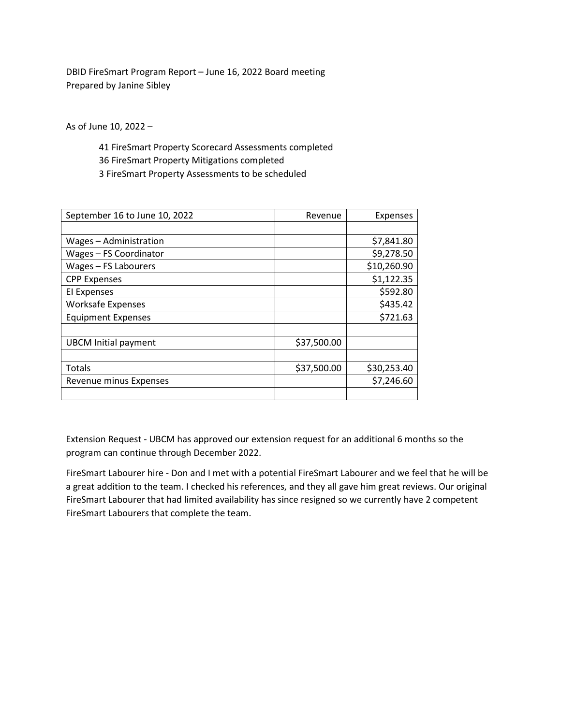DBID FireSmart Program Report – June 16, 2022 Board meeting Prepared by Janine Sibley

As of June 10, 2022 –

41 FireSmart Property Scorecard Assessments completed 36 FireSmart Property Mitigations completed 3 FireSmart Property Assessments to be scheduled

| September 16 to June 10, 2022 | Revenue     | Expenses    |
|-------------------------------|-------------|-------------|
|                               |             |             |
| Wages - Administration        |             | \$7,841.80  |
| Wages - FS Coordinator        |             | \$9,278.50  |
| Wages - FS Labourers          |             | \$10,260.90 |
| <b>CPP Expenses</b>           |             | \$1,122.35  |
| El Expenses                   |             | \$592.80    |
| <b>Worksafe Expenses</b>      |             | \$435.42    |
| <b>Equipment Expenses</b>     |             | \$721.63    |
|                               |             |             |
| <b>UBCM Initial payment</b>   | \$37,500.00 |             |
|                               |             |             |
| Totals                        | \$37,500.00 | \$30,253.40 |
| Revenue minus Expenses        |             | \$7,246.60  |
|                               |             |             |

Extension Request - UBCM has approved our extension request for an additional 6 months so the program can continue through December 2022.

FireSmart Labourer hire - Don and I met with a potential FireSmart Labourer and we feel that he will be a great addition to the team. I checked his references, and they all gave him great reviews. Our original FireSmart Labourer that had limited availability has since resigned so we currently have 2 competent FireSmart Labourers that complete the team.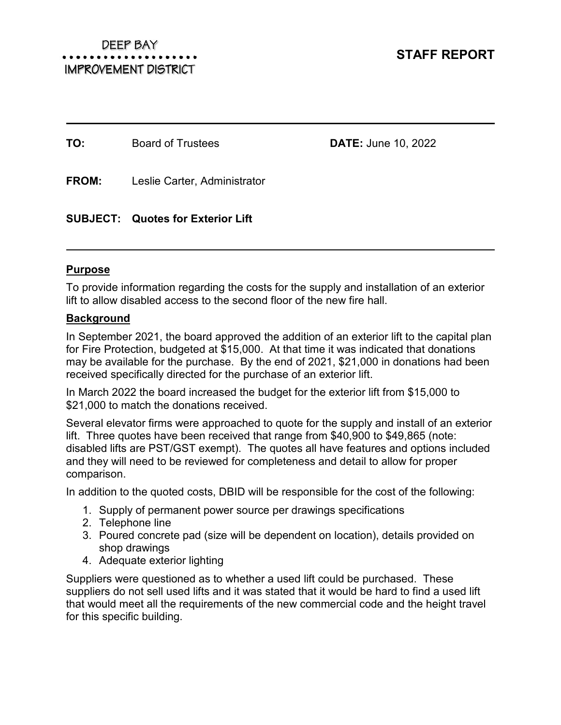**TO:** Board of Trustees **DATE:** June 10, 2022

**FROM:** Leslie Carter, Administrator

**SUBJECT: Quotes for Exterior Lift** 

# **Purpose**

To provide information regarding the costs for the supply and installation of an exterior lift to allow disabled access to the second floor of the new fire hall.

# **Background**

In September 2021, the board approved the addition of an exterior lift to the capital plan for Fire Protection, budgeted at \$15,000. At that time it was indicated that donations may be available for the purchase. By the end of 2021, \$21,000 in donations had been received specifically directed for the purchase of an exterior lift.

In March 2022 the board increased the budget for the exterior lift from \$15,000 to \$21,000 to match the donations received.

Several elevator firms were approached to quote for the supply and install of an exterior lift. Three quotes have been received that range from \$40,900 to \$49,865 (note: disabled lifts are PST/GST exempt). The quotes all have features and options included and they will need to be reviewed for completeness and detail to allow for proper comparison.

In addition to the quoted costs, DBID will be responsible for the cost of the following:

- 1. Supply of permanent power source per drawings specifications
- 2. Telephone line
- 3. Poured concrete pad (size will be dependent on location), details provided on shop drawings
- 4. Adequate exterior lighting

Suppliers were questioned as to whether a used lift could be purchased. These suppliers do not sell used lifts and it was stated that it would be hard to find a used lift that would meet all the requirements of the new commercial code and the height travel for this specific building.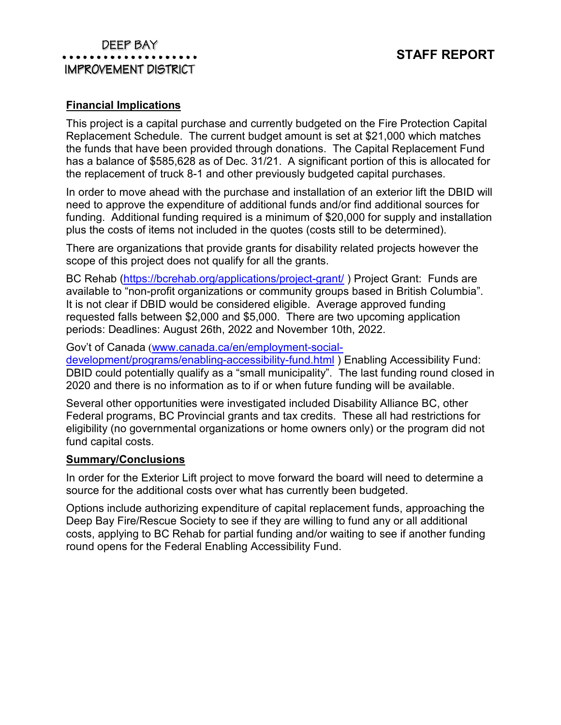## DEEP BAY . . . . . . . . . . . . . . . . . . . . IMPROVEMENT DISTRICT

# **Financial Implications**

This project is a capital purchase and currently budgeted on the Fire Protection Capital Replacement Schedule. The current budget amount is set at \$21,000 which matches the funds that have been provided through donations. The Capital Replacement Fund has a balance of \$585,628 as of Dec. 31/21. A significant portion of this is allocated for the replacement of truck 8-1 and other previously budgeted capital purchases.

In order to move ahead with the purchase and installation of an exterior lift the DBID will need to approve the expenditure of additional funds and/or find additional sources for funding. Additional funding required is a minimum of \$20,000 for supply and installation plus the costs of items not included in the quotes (costs still to be determined).

There are organizations that provide grants for disability related projects however the scope of this project does not qualify for all the grants.

BC Rehab (https://bcrehab.org/applications/project-grant/ ) Project Grant: Funds are available to "non-profit organizations or community groups based in British Columbia". It is not clear if DBID would be considered eligible. Average approved funding requested falls between \$2,000 and \$5,000. There are two upcoming application periods: Deadlines: August 26th, 2022 and November 10th, 2022.

Gov't of Canada (www.canada.ca/en/employment-social-

development/programs/enabling-accessibility-fund.html ) Enabling Accessibility Fund: DBID could potentially qualify as a "small municipality". The last funding round closed in 2020 and there is no information as to if or when future funding will be available.

Several other opportunities were investigated included Disability Alliance BC, other Federal programs, BC Provincial grants and tax credits. These all had restrictions for eligibility (no governmental organizations or home owners only) or the program did not fund capital costs.

## **Summary/Conclusions**

In order for the Exterior Lift project to move forward the board will need to determine a source for the additional costs over what has currently been budgeted.

Options include authorizing expenditure of capital replacement funds, approaching the Deep Bay Fire/Rescue Society to see if they are willing to fund any or all additional costs, applying to BC Rehab for partial funding and/or waiting to see if another funding round opens for the Federal Enabling Accessibility Fund.